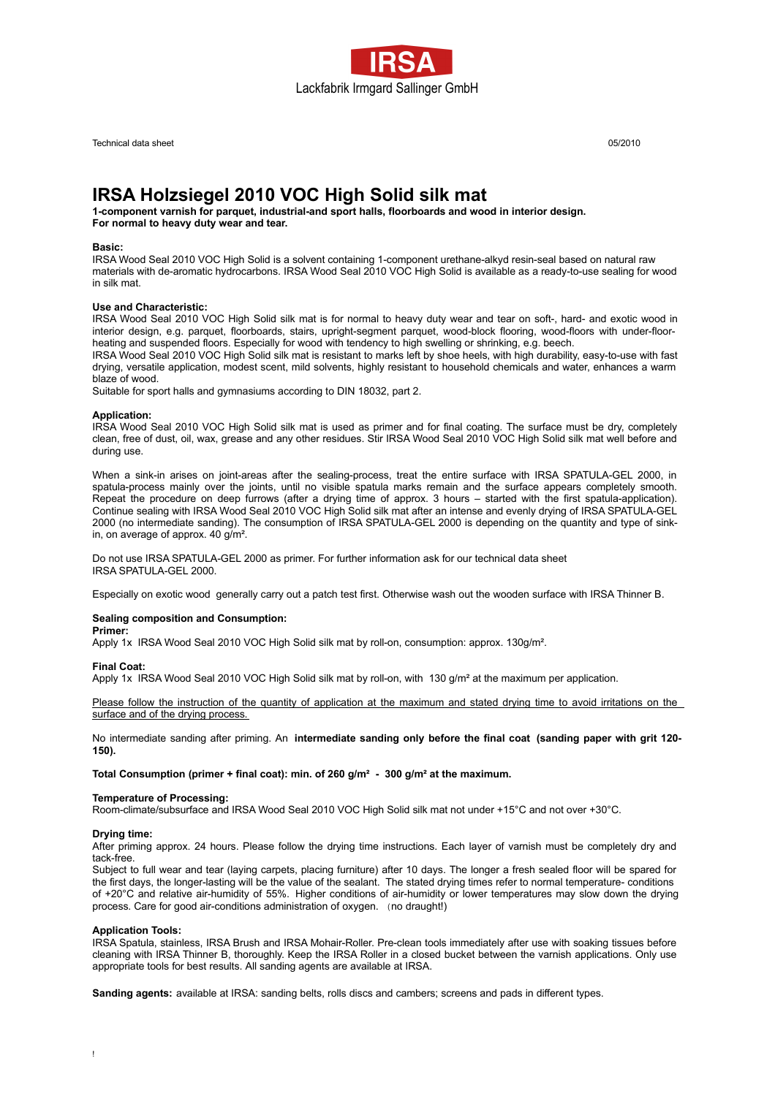

Technical data sheet 05/2010

# **IRSA Holzsiegel 2010 VOC High Solid silk mat**

**1-component varnish for parquet, industrial-and sport halls, floorboards and wood in interior design.**

**For normal to heavy duty wear and tear.**

# **Basic:**

IRSA Wood Seal 2010 VOC High Solid is a solvent containing 1-component urethane-alkyd resin-seal based on natural raw materials with de-aromatic hydrocarbons. IRSA Wood Seal 2010 VOC High Solid is available as a ready-to-use sealing for wood in silk mat.

## **Use and Characteristic:**

IRSA Wood Seal 2010 VOC High Solid silk mat is for normal to heavy duty wear and tear on soft-, hard- and exotic wood in interior design, e.g. parquet, floorboards, stairs, upright-segment parquet, wood-block flooring, wood-floors with under-floorheating and suspended floors. Especially for wood with tendency to high swelling or shrinking, e.g. beech.

IRSA Wood Seal 2010 VOC High Solid silk mat is resistant to marks left by shoe heels, with high durability, easy-to-use with fast drying, versatile application, modest scent, mild solvents, highly resistant to household chemicals and water, enhances a warm blaze of wood.

Suitable for sport halls and gymnasiums according to DIN 18032, part 2.

## **Application:**

IRSA Wood Seal 2010 VOC High Solid silk mat is used as primer and for final coating. The surface must be dry, completely clean, free of dust, oil, wax, grease and any other residues. Stir IRSA Wood Seal 2010 VOC High Solid silk mat well before and during use.

When a sink-in arises on joint-areas after the sealing-process, treat the entire surface with IRSA SPATULA-GEL 2000, in spatula-process mainly over the joints, until no visible spatula marks remain and the surface appears completely smooth. Repeat the procedure on deep furrows (after a drying time of approx. 3 hours – started with the first spatula-application). Continue sealing with IRSA Wood Seal 2010 VOC High Solid silk mat after an intense and evenly drying of IRSA SPATULA-GEL 2000 (no intermediate sanding). The consumption of IRSA SPATULA-GEL 2000 is depending on the quantity and type of sinkin, on average of approx. 40 g/m².

Do not use IRSA SPATULA-GEL 2000 as primer. For further information ask for our technical data sheet IRSA SPATULA-GEL 2000.

Especially on exotic wood generally carry out a patch test first. Otherwise wash out the wooden surface with IRSA Thinner B.

# **Sealing composition and Consumption:**

**Primer:**

Apply 1x IRSA Wood Seal 2010 VOC High Solid silk mat by roll-on, consumption: approx. 130g/m².

#### **Final Coat:**

Apply 1x IRSA Wood Seal 2010 VOC High Solid silk mat by roll-on, with 130 g/m<sup>2</sup> at the maximum per application.

Please follow the instruction of the quantity of application at the maximum and stated drying time to avoid irritations on the surface and of the drying process.

No intermediate sanding after priming. An **intermediate sanding only before the final coat (sanding paper with grit 120- 150).**

**Total Consumption (primer + final coat): min. of 260 g/m² - 300 g/m² at the maximum.**

## **Temperature of Processing:**

Room-climate/subsurface and IRSA Wood Seal 2010 VOC High Solid silk mat not under +15°C and not over +30°C.

## **Drying time:**

After priming approx. 24 hours. Please follow the drying time instructions. Each layer of varnish must be completely dry and tack-free.

Subject to full wear and tear (laying carpets, placing furniture) after 10 days. The longer a fresh sealed floor will be spared for the first days, the longer-lasting will be the value of the sealant. The stated drying times refer to normal temperature- conditions of +20°C and relative air-humidity of 55%. Higher conditions of air-humidity or lower temperatures may slow down the drying process. Care for good air-conditions administration of oxygen. (no draught!)

## **Application Tools:**

IRSA Spatula, stainless, IRSA Brush and IRSA Mohair-Roller. Pre-clean tools immediately after use with soaking tissues before cleaning with IRSA Thinner B, thoroughly. Keep the IRSA Roller in a closed bucket between the varnish applications. Only use appropriate tools for best results. All sanding agents are available at IRSA.

**Sanding agents:** available at IRSA: sanding belts, rolls discs and cambers; screens and pads in different types.